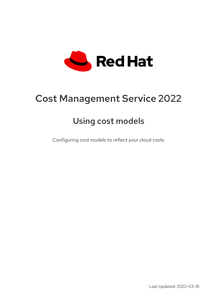

# Cost Management Service 2022

# Using cost models

Configuring cost models to reflect your cloud costs

Last Updated: 2022-03-18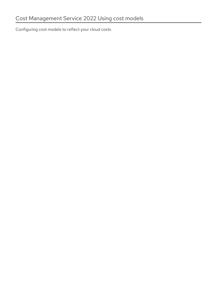Configuring cost models to reflect your cloud costs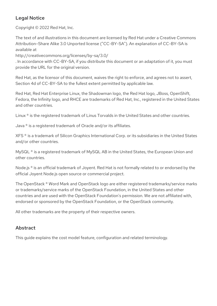### Legal Notice

Copyright © 2022 Red Hat, Inc.

The text of and illustrations in this document are licensed by Red Hat under a Creative Commons Attribution–Share Alike 3.0 Unported license ("CC-BY-SA"). An explanation of CC-BY-SA is available at

http://creativecommons.org/licenses/by-sa/3.0/

. In accordance with CC-BY-SA, if you distribute this document or an adaptation of it, you must provide the URL for the original version.

Red Hat, as the licensor of this document, waives the right to enforce, and agrees not to assert, Section 4d of CC-BY-SA to the fullest extent permitted by applicable law.

Red Hat, Red Hat Enterprise Linux, the Shadowman logo, the Red Hat logo, JBoss, OpenShift, Fedora, the Infinity logo, and RHCE are trademarks of Red Hat, Inc., registered in the United States and other countries.

Linux ® is the registered trademark of Linus Torvalds in the United States and other countries.

Java ® is a registered trademark of Oracle and/or its affiliates.

XFS ® is a trademark of Silicon Graphics International Corp. or its subsidiaries in the United States and/or other countries.

MySQL<sup>®</sup> is a registered trademark of MySQL AB in the United States, the European Union and other countries.

Node.js ® is an official trademark of Joyent. Red Hat is not formally related to or endorsed by the official Joyent Node.js open source or commercial project.

The OpenStack ® Word Mark and OpenStack logo are either registered trademarks/service marks or trademarks/service marks of the OpenStack Foundation, in the United States and other countries and are used with the OpenStack Foundation's permission. We are not affiliated with, endorsed or sponsored by the OpenStack Foundation, or the OpenStack community.

All other trademarks are the property of their respective owners.

### Abstract

This guide explains the cost model feature, configuration and related terminology.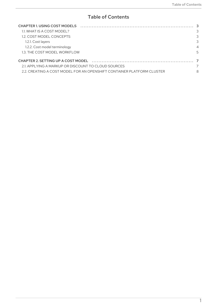# Table of Contents

| 1.1. WHAT IS A COST MODEL?                                             |  |
|------------------------------------------------------------------------|--|
| 1.2. COST MODEL CONCEPTS                                               |  |
| 1.2.1. Cost layers                                                     |  |
| 1.2.2. Cost model terminology                                          |  |
| 1.3. THE COST MODEL WORKFLOW                                           |  |
|                                                                        |  |
| 2.1. APPLYING A MARKUP OR DISCOUNT TO CLOUD SOURCES                    |  |
| 2.2. CREATING A COST MODEL FOR AN OPENSHIFT CONTAINER PLATFORM CLUSTER |  |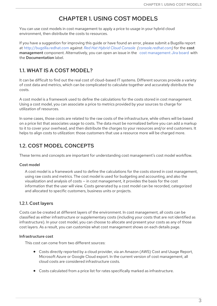# CHAPTER 1. USING COST MODELS

<span id="page-6-0"></span>You can use cost models in cost management to apply a price to usage in your hybrid cloud environment, then distribute the costs to resources.

If you have a suggestion for improving this guide or have found an error, please submit a Bugzilla report at [http://bugzilla.redhat.com](https://bugzilla.redhat.com/enter_bug.cgi?product=Red Hat Hybrid Cloud Console %28console.redhat.com%29) against *Red Hat Hybrid Cloud [Console](https://console.redhat.com) [\(console.redhat.com\)](https://console.redhat.com)* for the cost management component. Alternatively, you can open an issue in the cost [management](https://issues.redhat.com/projects/COST/) Jira board with the Documentation label.

# <span id="page-6-1"></span>1.1. WHAT IS A COST MODEL?

It can be difficult to find out the real cost of cloud-based IT systems. Different sources provide a variety of cost data and metrics, which can be complicated to calculate together and accurately distribute the costs.

A cost model is a framework used to define the calculations for the costs stored in cost management. Using a cost model, you can associate a price to metrics provided by your sources to charge for utilization of resources.

In some cases, those costs are related to the raw costs of the infrastructure, while others will be based on a price list that associates usage to costs. The data must be normalized before you can add a markup to it to cover your overhead, and then distribute the charges to your resources and/or end customers. It helps to align costs to utilization: those customers that use a resource more will be charged more.

# <span id="page-6-2"></span>1.2. COST MODEL CONCEPTS

These terms and concepts are important for understanding cost management's cost model workflow.

#### Cost model

A cost model is a framework used to define the calculations for the costs stored in cost management, using raw costs and metrics. The cost model is used for budgeting and accounting, and also the visualization and analysis of costs — in cost management, it provides the basis for the cost information that the user will view. Costs generated by a cost model can be recorded, categorized and allocated to specific customers, business units or projects.

### <span id="page-6-3"></span>1.2.1. Cost layers

Costs can be created at different layers of the environment. In cost management, all costs can be classified as either infrastructure or supplementary costs (including your costs that are not identified as infrastructure). In your cost model, you can choose to allocate and present your costs as any of those cost layers. As a result, you can customize what cost management shows on each details page.

#### Infrastructure cost

This cost can come from two different sources:

- Costs directly reported by a cloud provider, via an Amazon (AWS) Cost and Usage Report, Microsoft Azure or Google Cloud export. In the current version of cost management, all cloud costs are considered infrastructure costs.
- Costs calculated from a price list for rates specifically marked as infrastructure.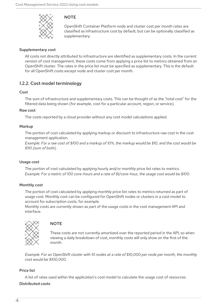

### **NOTE**

OpenShift Container Platform node and cluster cost per month rates are classified as infrastructure cost by default, but can be optionally classified as supplementary.

#### Supplementary cost

All costs not directly attributed to infrastructure are identified as supplementary costs. In the current version of cost management, these costs come from applying a price list to metrics obtained from an OpenShift cluster. The rates in the price list must be specified as supplementary. This is the default for all OpenShift costs except node and cluster cost per month.

### <span id="page-7-0"></span>1.2.2. Cost model terminology

#### Cost

The sum of infrastructure and supplementary costs. This can be thought of as the "total cost" for the filtered data being shown (for example, cost for a particular account, region, or service).

#### Raw cost

The costs reported by a cloud provider without any cost model calculations applied.

#### Markup

The portion of cost calculated by applying markup or discount to infrastructure raw cost in the cost management application.

Example: For a raw cost of \$100 and a markup of 10%, the markup would be \$10, and the cost would be *\$110 (sum of both).*

#### Usage cost

The portion of cost calculated by applying hourly and/or monthly price list rates to metrics. *Example: For a metric of 100 core-hours and a rate of \$1/core-hour, the usage cost would be \$100.*

#### Monthly cost

The portion of cost calculated by applying monthly price list rates to metrics returned as part of usage cost. Monthly cost can be configured for OpenShift nodes or clusters in a cost model to account for subscription costs, for example.

Monthly costs are currently shown as part of the usage costs in the cost management API and interface.



#### **NOTE**

These costs are not currently amortized over the reported period in the API, so when viewing a daily breakdown of cost, monthly costs will only show on the first of the month.

Example: For an OpenShift cluster with 10 nodes at a rate of \$10,000 per node per month, the monthly *cost would be \$100,000.*

#### Price list

A list of rates used within the application's cost model to calculate the usage cost of resources.

#### Distributed costs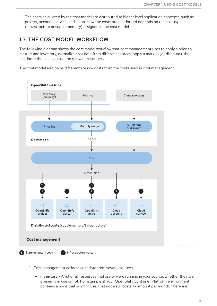The costs calculated by the cost model are distributed to higher level application concepts, such as project, account, service, and so on. How the costs are distributed depends on the cost type (infrastructure or supplementary) assigned in the cost model.

## <span id="page-8-0"></span>1.3. THE COST MODEL WORKFLOW

The following diagram shows the cost model workflow that cost management uses to apply a price to metrics and inventory, normalize cost data from different sources, apply a markup (or discount), then distribute the costs across the relevant resources.

The cost model also helps differentiate raw costs from the costs used in cost management.



- 1. Cost management collects cost data from several sources:
	- Inventory A list of all resources that are or were running in your source, whether they are presently in use or not. For example, if your OpenShift Container Platform environment contains a node that is not in use, that node still costs *\$x* amount per month. There are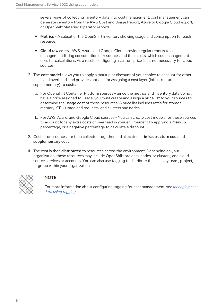several ways of collecting inventory data into cost management: cost management can generate inventory from the AWS Cost and Usage Report, Azure or Google Cloud export, or OpenShift Metering Operator reports.

- **Metrics** A subset of the OpenShift inventory showing usage and consumption for each resource.
- Cloud raw costs- AWS, Azure, and Google Cloud provide regular reports to cost management listing consumption of resources and their costs, which cost management uses for calculations. As a result, configuring a custom price list is not necessary for cloud sources.
- 2. The cost model allows you to apply a markup or discount of your choice to account for other costs and overhead, and provides options for assigning a cost layer (infrastructure or supplementary) to costs:
	- a. For OpenShift Container Platform sources Since the metrics and inventory data do not have a price assigned to usage, you must create and assign a price list to your sources to determine the usage cost of these resources. A price list includes rates for storage, memory, CPU usage and requests, and clusters and nodes.
	- b. For AWS, Azure, and Google Cloud sources You can create cost models for these sources to account for any extra costs or overhead in your environment by applying a **markup** percentage, or a negative percentage to calculate a discount.
- 3. Costs from sources are then collected together and allocated as infrastructure cost and supplementary cost.
- 4. The cost is then **distributed** to resources across the environment. Depending on your organization, these resources may include OpenShift projects, nodes, or clusters, and cloud source services or accounts. You can also use tagging to distribute the costs by team, project, or group within your organization.



### **NOTE**

For more information about configuring tagging for cost [management,](https://access.redhat.com/documentation/en-us/cost_management_service/2022/html-single/managing_cost_data_using_tagging/index) see *Managing cost data using tagging*.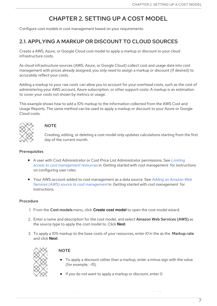# CHAPTER 2. SETTING UP A COST MODEL

<span id="page-10-0"></span>Configure cost models in cost management based on your requirements.

## <span id="page-10-1"></span>2.1. APPLYING A MARKUP OR DISCOUNT TO CLOUD SOURCES

Create a AWS, Azure, or Google Cloud cost model to apply a markup or discount to your cloud infrastructure costs.

As cloud infrastructure sources (AWS, Azure, or Google Cloud) collect cost and usage data into cost management with prices already assigned, you only need to assign a markup or discount (if desired) to accurately reflect your costs.

Adding a markup to your *raw costs* can allow you to account for your overhead costs, such as the cost of administering your AWS account, Azure subscription, or other support costs. A markup is an estimation to cover your costs not shown by metrics or usage.

This example shows how to add a 10% markup to the information collected from the AWS Cost and Usage Reports. The same method can be used to apply a markup or discount to your Azure or Google Cloud costs.



#### **NOTE**

Creating, editing, or deleting a cost model only updates calculations starting from the first day of the current month.

#### **Prerequisites**

- A user with Cost [Administrator](https://access.redhat.com/documentation/en-us/cost_management_service/2022/html-single/limiting_access_to_cost_management_resources/index) or Cost Price List Administrator permissions. See *Limiting access to cost management resources* in *Getting started with cost management* for instructions on configuring user roles.
- Your AWS account added to cost [management](https://access.redhat.com/documentation/en-us/cost_management_service/2022/html-single/adding_an_amazon_web_services_aws_source_to_cost_management/index) as a data source. See *Adding an Amazon Web Services (AWS) source to cost management* in *Getting started with cost management* for instructions.

#### Procedure

- 1. From the Cost models menu, click **Create cost model** to open the cost model wizard.
- 2. Enter a name and description for the cost model, and select Amazon Web Services (AWS) as the source type to apply the cost model to. Click **Next**.
- 3. To apply a 10% markup to the base costs of your resources, enter *10* in the as the Markup rate and click **Next**.



#### **NOTE**

- To apply a discount rather than a markup, enter a minus sign with the value (for example, *-15*).
- If you do not want to apply a markup or discount, enter *0*.

4. Select one or multiple AWS sources to assign the cost model to and click **Next**. Selecting a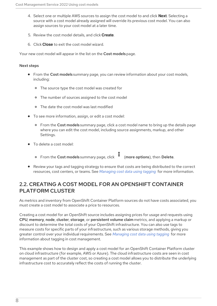- 4. Select one or multiple AWS sources to assign the cost model to and click **Next**. Selecting a source with a cost model already assigned will override its previous cost model. You can also assign sources to your cost model at a later time.
- 5. Review the cost model details, and click **Create**.
- 6. Click **Close** to exit the cost model wizard.

Your new cost model will appear in the list on the Cost models page.

#### Next steps

- From the Cost models summary page, you can review information about your cost models, including:
	- The source type the cost model was created for
	- The number of sources assigned to the cost model
	- The date the cost model was last modified
- To see more information, assign, or edit a cost model:
	- From the Cost models summary page, click a cost model name to bring up the details page where you can edit the cost model, including source assignments, markup, and other Settings.
- To delete a cost model:
	- From the Cost models summary page, click (more options), then Delete.
- Review your tags and tagging strategy to ensure that costs are being distributed to the correct resources, cost centers, or teams. See *[Managing](https://access.redhat.com/documentation/en-us/cost_management_service/2022/html-single/managing_cost_data_using_tagging/index) cost data using tagging* for more information.

# <span id="page-11-0"></span>2.2. CREATING A COST MODEL FOR AN OPENSHIFT CONTAINER PLATFORM CLUSTER

As metrics and inventory from OpenShift Container Platform sources do not have costs associated, you must create a cost model to associate a price to resources.

Creating a cost model for an OpenShift source includes assigning prices for usage and requests using CPU, memory, node, cluster, storage, or persistent volume claim metrics, and applying a markup or discount to determine the total costs of your OpenShift infrastructure. You can also use tags to measure costs for specific parts of your infrastructure, such as various storage methods, giving you greater control over your individual requirements. See *[Managing](https://access.redhat.com/documentation/en-us/cost_management_service/2022/html-single/managing_cost_data_using_tagging/index) cost data using tagging* for more information about tagging in cost management.

This example shows how to design and apply a cost model for an OpenShift Container Platform cluster on cloud infrastructure (for example, AWS or Azure). The cloud infrastructure costs are seen in cost management as part of the cluster cost, so creating a cost model allows you to distribute the underlying infrastructure cost to accurately reflect the costs of running the cluster.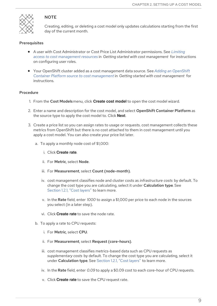

### **NOTE**

Creating, editing, or deleting a cost model only updates calculations starting from the first day of the current month.

#### Prerequisites

- A user with Cost [Administrator](https://access.redhat.com/documentation/en-us/cost_management_service/2022/html-single/limiting_access_to_cost_management_resources/index) or Cost Price List Administrator permissions. See *Limiting access to cost management resources* in *Getting started with cost management* for instructions on configuring user roles.
- Your OpenShift cluster added as a cost [management](https://access.redhat.com/documentation/en-us/cost_management_service/2022/html-single/adding_an_openshift_container_platform_source_to_cost_management/index) data source. See *Adding an OpenShift Container Platform source to cost management* in *Getting started with cost management* for instructions.

#### Procedure

- 1. From the Cost Modelsmenu, click **Create cost model** to open the cost model wizard.
- 2. Enter a name and description for the cost model, and select OpenShift Container Platform as the source type to apply the cost model to. Click **Next**.
- 3. Create a price list so you can assign rates to usage or requests. cost management collects these metrics from OpenShift but there is no cost attached to them in cost management until you apply a cost model. You can also create your price list later.
	- a. To apply a monthly node cost of \$1,000:
		- i. Click **Create rate**.
		- ii. For Metric, select Node.
		- iii. For Measurement, select Count (node-month).
		- iv. cost management classifies node and cluster costs as *infrastructure costs* by default. To change the cost type you are calculating, select it under Calculation type. See [Section](#page-6-3) 1.2.1, "Cost layers" to learn more.
		- v. In the Rate field, enter *1000* to assign a \$1,000 per price to each node in the sources you select (in a later step).
		- vi. Click **Create rate** to save the node rate.
	- b. To apply a rate to CPU requests:
		- i. For Metric, select CPU.
		- ii. For Measurement, select Request (core-hours).
		- iii. cost management classifies metrics-based data such as CPU requests as *supplementary costs* by default. To change the cost type you are calculating, select it under Calculation type. See [Section](#page-6-3) 1.2.1, "Cost layers" to learn more.
		- iv. In the Rate field, enter *0.09* to apply a \$0.09 cost to each core-hour of CPU requests.
		- v. Click **Create rate** to save the CPU request rate.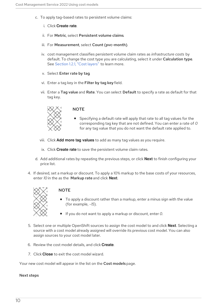- c. To apply tag-based rates to persistent volume claims:
	- i. Click **Create rate**.
	- ii. For Metric, select Persistent volume claims.
	- iii. For Measurement, select Count (pvc-month).
	- iv. cost management classifies persistent volume claim rates as *infrastructure costs* by default. To change the cost type you are calculating, select it under Calculation type. See [Section](#page-6-3) 1.2.1, "Cost layers" to learn more.
	- v. Select Enter rate by tag.
	- vi. Enter a tag key in the Filter by tag key field.
	- vii. Enter a Tag value and Rate. You can select Default to specify a rate as default for that tag key.



#### **NOTE**

- Specifying a default rate will apply that rate to all tag values for the corresponding tag key that are not defined. You can enter a rate of *0* for any tag value that you do not want the default rate applied to.
- viii. Click **Add more tag values** to add as many tag values as you require.
- ix. Click **Create rate** to save the persistent volume claim rates.
- d. Add additional rates by repeating the previous steps, or click **Next** to finish configuring your price list.
- 4. If desired, set a markup or discount. To apply a 10% markup to the base costs of your resources, enter *10* in the as the Markup rate and click **Next**.



#### **NOTE**

- To apply a discount rather than a markup, enter a minus sign with the value (for example, *-15*).
- If you do not want to apply a markup or discount, enter *0*.
- 5. Select one or multiple OpenShift sources to assign the cost model to and click **Next**. Selecting a source with a cost model already assigned will override its previous cost model. You can also assign sources to your cost model later.
- 6. Review the cost model details, and click **Create**.
- 7. Click **Close** to exit the cost model wizard.

Your new cost model will appear in the list on the Cost models page.

#### Next steps